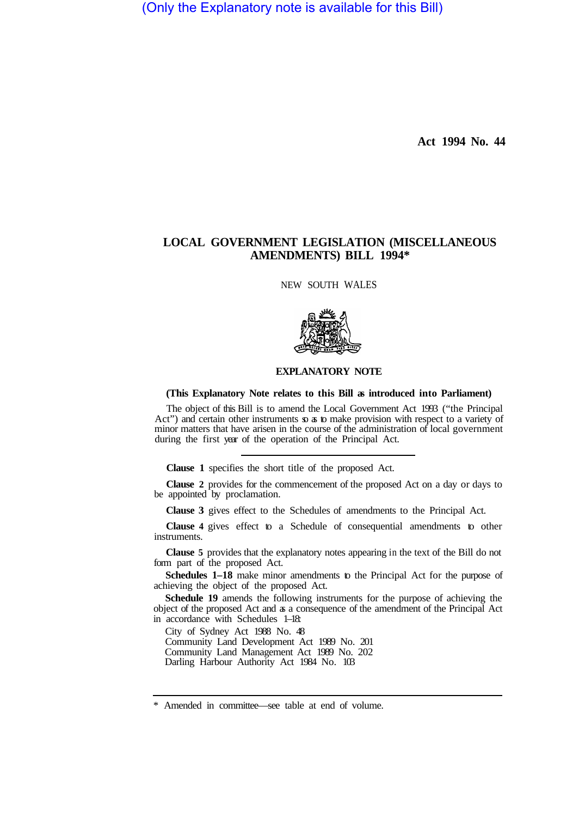(Only the Explanatory note is available for this Bill)

**Act 1994 No. 44** 

## **LOCAL GOVERNMENT LEGISLATION (MISCELLANEOUS AMENDMENTS) BILL 1994\***

NEW SOUTH WALES



## **EXPLANATORY NOTE**

## **(This Explanatory Note relates to this Bill as introduced into Parliament)**

The object of this Bill is to amend the Local Government Act 1993 ("the Principal Act") and certain other instruments so as to make provision with respect to a variety of minor matters that have arisen in the course of the administration of local government during the first year of the operation of the Principal Act.

**Clause 1** specifies the short title of the proposed Act.

**Clause 2** provides for the commencement of the proposed Act on a day or days to be appointed by proclamation.

**Clause 3** gives effect to the Schedules of amendments to the Principal Act.

**Clause 4** gives effect to a Schedule of consequential amendments to other instruments.

**Clause 5** provides that the explanatory notes appearing in the text of the Bill do not form part of the proposed Act.

Schedules 1-18 make minor amendments to the Principal Act for the purpose of achieving the object of the proposed Act.

**Schedule 19** amends the following instruments for the purpose of achieving the object of the proposed Act and as a consequence of the amendment of the Principal Act in accordance with Schedules 1–18:

City of Sydney Act 1988 No. 48

Community Land Development Act 1989 No. 201 Community Land Management Act 1989 No. 202 Darling Harbour Authority Act 1984 No. 103

Amended in committee—see table at end of volume.